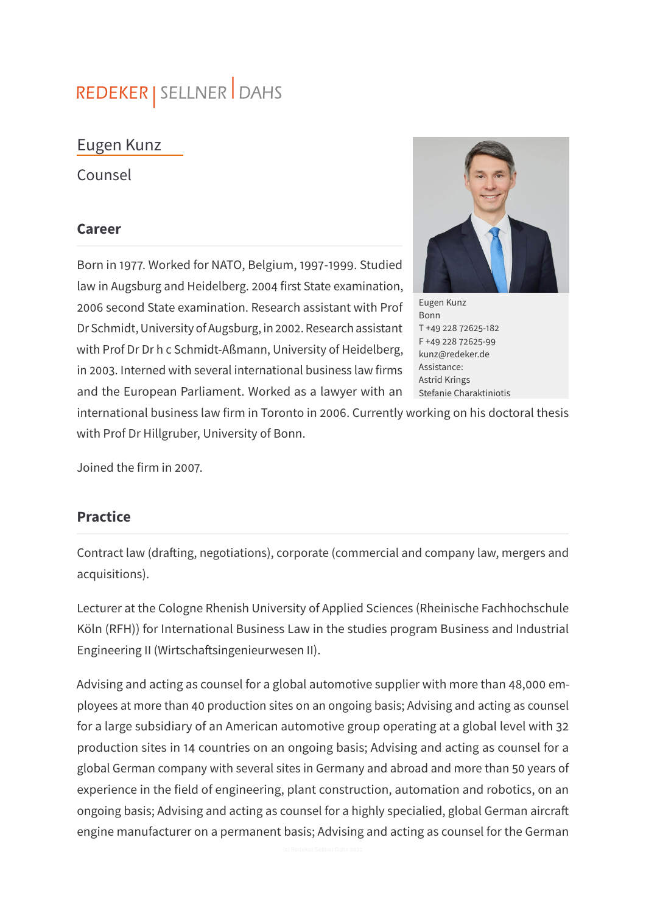# REDEKER | SELLNER DAHS

## Eugen Kunz

Counsel

#### **Career**

Born in 1977. Worked for NATO, Belgium, 1997-1999. Studied law in Augsburg and Heidelberg. 2004 first State examination, 2006 second State examination. Research assistant with Prof Dr Schmidt, University of Augsburg, in 2002. Research assistant with Prof Dr Dr h c Schmidt-Aßmann, University of Heidelberg, in 2003. Interned with several international business law firms and the European Parliament. Worked as a lawyer with an



Eugen Kunz Bonn T +49 228 72625-182 F +49 228 72625-99 kunz@redeker.de Assistance: Astrid Krings Stefanie Charaktiniotis

international business law firm in Toronto in 2006. Currently working on his doctoral thesis with Prof Dr Hillgruber, University of Bonn.

Joined the firm in 2007.

#### **Practice**

Contract law (drafting, negotiations), corporate (commercial and company law, mergers and acquisitions).

Lecturer at the Cologne Rhenish University of Applied Sciences (Rheinische Fachhochschule Köln (RFH)) for International Business Law in the studies program Business and Industrial Engineering II (Wirtschaftsingenieurwesen II).

Advising and acting as counsel for a global automotive supplier with more than 48,000 employees at more than 40 production sites on an ongoing basis; Advising and acting as counsel for a large subsidiary of an American automotive group operating at a global level with 32 production sites in 14 countries on an ongoing basis; Advising and acting as counsel for a global German company with several sites in Germany and abroad and more than 50 years of experience in the field of engineering, plant construction, automation and robotics, on an ongoing basis; Advising and acting as counsel for a highly specialied, global German aircra engine manufacturer on a permanent basis; Advising and acting as counsel for the German